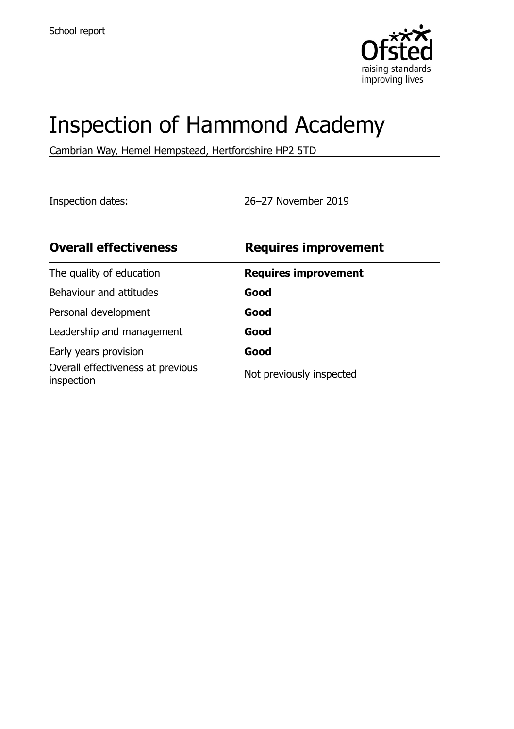

# Inspection of Hammond Academy

Cambrian Way, Hemel Hempstead, Hertfordshire HP2 5TD

Inspection dates: 26–27 November 2019

| <b>Overall effectiveness</b>                    | <b>Requires improvement</b> |  |
|-------------------------------------------------|-----------------------------|--|
| The quality of education                        | <b>Requires improvement</b> |  |
| Behaviour and attitudes                         | Good                        |  |
| Personal development                            | Good                        |  |
| Leadership and management                       | Good                        |  |
| Early years provision                           | Good                        |  |
| Overall effectiveness at previous<br>inspection | Not previously inspected    |  |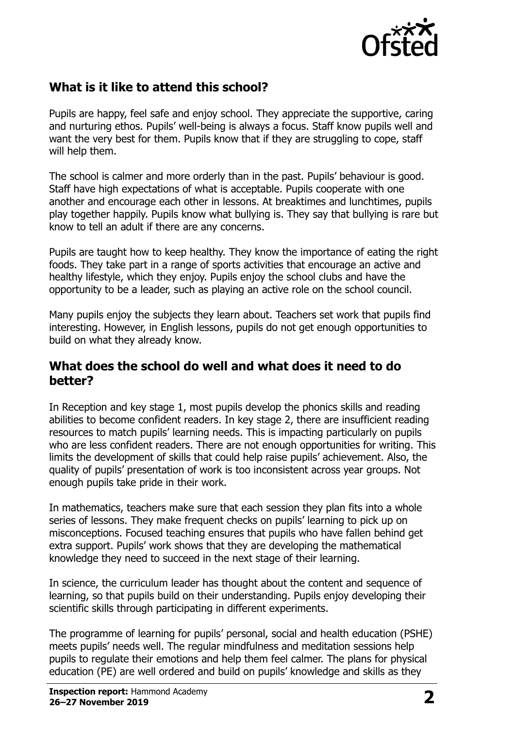

## **What is it like to attend this school?**

Pupils are happy, feel safe and enjoy school. They appreciate the supportive, caring and nurturing ethos. Pupils' well-being is always a focus. Staff know pupils well and want the very best for them. Pupils know that if they are struggling to cope, staff will help them.

The school is calmer and more orderly than in the past. Pupils' behaviour is good. Staff have high expectations of what is acceptable. Pupils cooperate with one another and encourage each other in lessons. At breaktimes and lunchtimes, pupils play together happily. Pupils know what bullying is. They say that bullying is rare but know to tell an adult if there are any concerns.

Pupils are taught how to keep healthy. They know the importance of eating the right foods. They take part in a range of sports activities that encourage an active and healthy lifestyle, which they enjoy. Pupils enjoy the school clubs and have the opportunity to be a leader, such as playing an active role on the school council.

Many pupils enjoy the subjects they learn about. Teachers set work that pupils find interesting. However, in English lessons, pupils do not get enough opportunities to build on what they already know.

#### **What does the school do well and what does it need to do better?**

In Reception and key stage 1, most pupils develop the phonics skills and reading abilities to become confident readers. In key stage 2, there are insufficient reading resources to match pupils' learning needs. This is impacting particularly on pupils who are less confident readers. There are not enough opportunities for writing. This limits the development of skills that could help raise pupils' achievement. Also, the quality of pupils' presentation of work is too inconsistent across year groups. Not enough pupils take pride in their work.

In mathematics, teachers make sure that each session they plan fits into a whole series of lessons. They make frequent checks on pupils' learning to pick up on misconceptions. Focused teaching ensures that pupils who have fallen behind get extra support. Pupils' work shows that they are developing the mathematical knowledge they need to succeed in the next stage of their learning.

In science, the curriculum leader has thought about the content and sequence of learning, so that pupils build on their understanding. Pupils enjoy developing their scientific skills through participating in different experiments.

The programme of learning for pupils' personal, social and health education (PSHE) meets pupils' needs well. The regular mindfulness and meditation sessions help pupils to regulate their emotions and help them feel calmer. The plans for physical education (PE) are well ordered and build on pupils' knowledge and skills as they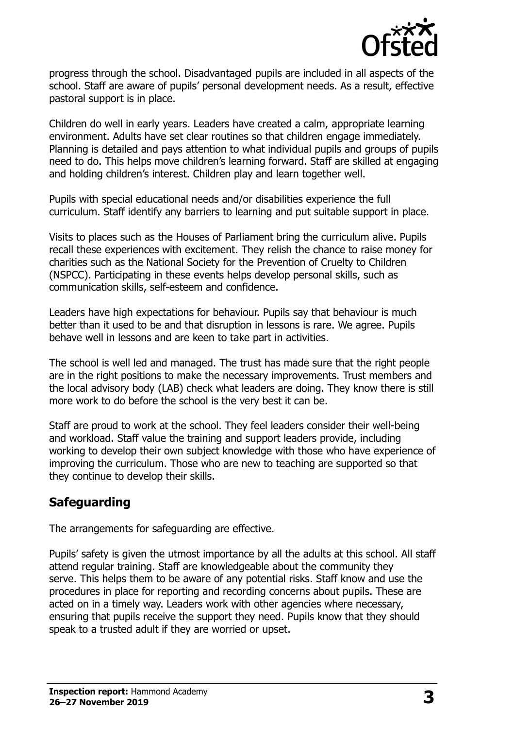

progress through the school. Disadvantaged pupils are included in all aspects of the school. Staff are aware of pupils' personal development needs. As a result, effective pastoral support is in place.

Children do well in early years. Leaders have created a calm, appropriate learning environment. Adults have set clear routines so that children engage immediately. Planning is detailed and pays attention to what individual pupils and groups of pupils need to do. This helps move children's learning forward. Staff are skilled at engaging and holding children's interest. Children play and learn together well.

Pupils with special educational needs and/or disabilities experience the full curriculum. Staff identify any barriers to learning and put suitable support in place.

Visits to places such as the Houses of Parliament bring the curriculum alive. Pupils recall these experiences with excitement. They relish the chance to raise money for charities such as the National Society for the Prevention of Cruelty to Children (NSPCC). Participating in these events helps develop personal skills, such as communication skills, self-esteem and confidence.

Leaders have high expectations for behaviour. Pupils say that behaviour is much better than it used to be and that disruption in lessons is rare. We agree. Pupils behave well in lessons and are keen to take part in activities.

The school is well led and managed. The trust has made sure that the right people are in the right positions to make the necessary improvements. Trust members and the local advisory body (LAB) check what leaders are doing. They know there is still more work to do before the school is the very best it can be.

Staff are proud to work at the school. They feel leaders consider their well-being and workload. Staff value the training and support leaders provide, including working to develop their own subject knowledge with those who have experience of improving the curriculum. Those who are new to teaching are supported so that they continue to develop their skills.

## **Safeguarding**

The arrangements for safeguarding are effective.

Pupils' safety is given the utmost importance by all the adults at this school. All staff attend regular training. Staff are knowledgeable about the community they serve. This helps them to be aware of any potential risks. Staff know and use the procedures in place for reporting and recording concerns about pupils. These are acted on in a timely way. Leaders work with other agencies where necessary, ensuring that pupils receive the support they need. Pupils know that they should speak to a trusted adult if they are worried or upset.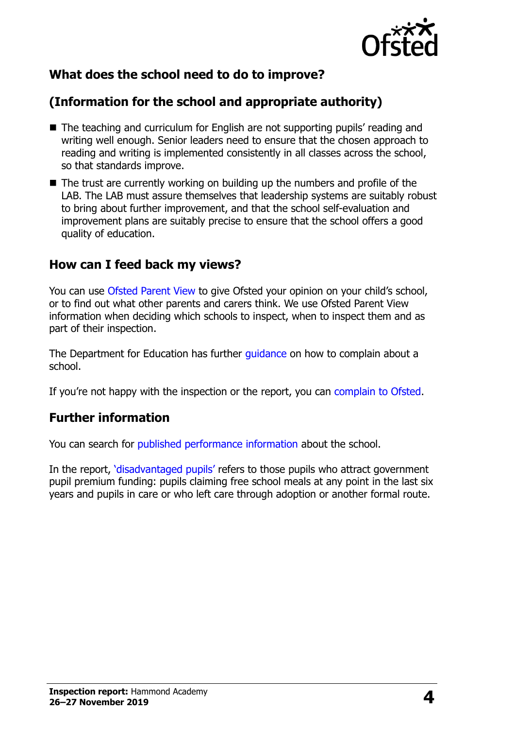

## **What does the school need to do to improve?**

## **(Information for the school and appropriate authority)**

- The teaching and curriculum for English are not supporting pupils' reading and writing well enough. Senior leaders need to ensure that the chosen approach to reading and writing is implemented consistently in all classes across the school, so that standards improve.
- The trust are currently working on building up the numbers and profile of the LAB. The LAB must assure themselves that leadership systems are suitably robust to bring about further improvement, and that the school self-evaluation and improvement plans are suitably precise to ensure that the school offers a good quality of education.

#### **How can I feed back my views?**

You can use [Ofsted Parent View](http://parentview.ofsted.gov.uk/) to give Ofsted your opinion on your child's school, or to find out what other parents and carers think. We use Ofsted Parent View information when deciding which schools to inspect, when to inspect them and as part of their inspection.

The Department for Education has further [guidance](http://www.gov.uk/complain-about-school) on how to complain about a school.

If you're not happy with the inspection or the report, you can [complain to Ofsted.](http://www.gov.uk/complain-ofsted-report)

### **Further information**

You can search for [published performance information](http://www.compare-school-performance.service.gov.uk/) about the school.

In the report, '[disadvantaged pupils](http://www.gov.uk/guidance/pupil-premium-information-for-schools-and-alternative-provision-settings)' refers to those pupils who attract government pupil premium funding: pupils claiming free school meals at any point in the last six years and pupils in care or who left care through adoption or another formal route.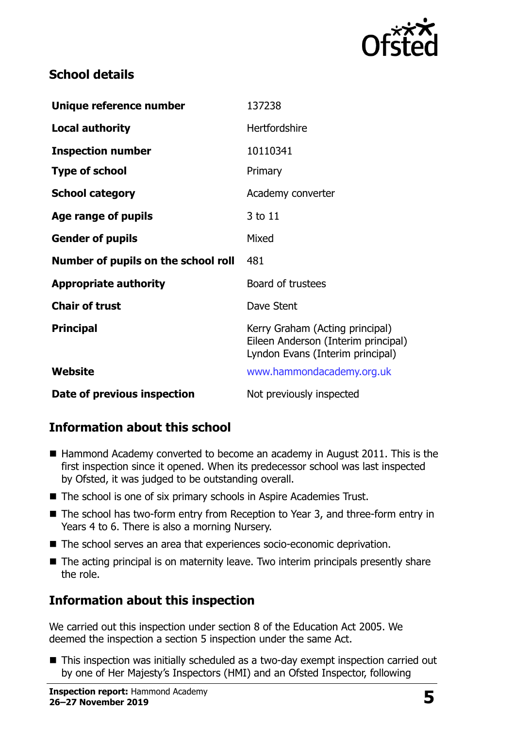

## **School details**

| Unique reference number             | 137238                                                                                                     |
|-------------------------------------|------------------------------------------------------------------------------------------------------------|
| <b>Local authority</b>              | Hertfordshire                                                                                              |
| <b>Inspection number</b>            | 10110341                                                                                                   |
| <b>Type of school</b>               | Primary                                                                                                    |
| <b>School category</b>              | Academy converter                                                                                          |
| Age range of pupils                 | 3 to 11                                                                                                    |
| <b>Gender of pupils</b>             | Mixed                                                                                                      |
| Number of pupils on the school roll | 481                                                                                                        |
| <b>Appropriate authority</b>        | Board of trustees                                                                                          |
| <b>Chair of trust</b>               | Dave Stent                                                                                                 |
| <b>Principal</b>                    | Kerry Graham (Acting principal)<br>Eileen Anderson (Interim principal)<br>Lyndon Evans (Interim principal) |
| Website                             | www.hammondacademy.org.uk                                                                                  |
| Date of previous inspection         | Not previously inspected                                                                                   |

## **Information about this school**

- Hammond Academy converted to become an academy in August 2011. This is the first inspection since it opened. When its predecessor school was last inspected by Ofsted, it was judged to be outstanding overall.
- The school is one of six primary schools in Aspire Academies Trust.
- The school has two-form entry from Reception to Year 3, and three-form entry in Years 4 to 6. There is also a morning Nursery.
- The school serves an area that experiences socio-economic deprivation.
- The acting principal is on maternity leave. Two interim principals presently share the role.

## **Information about this inspection**

We carried out this inspection under section 8 of the Education Act 2005. We deemed the inspection a section 5 inspection under the same Act.

■ This inspection was initially scheduled as a two-day exempt inspection carried out by one of Her Majesty's Inspectors (HMI) and an Ofsted Inspector, following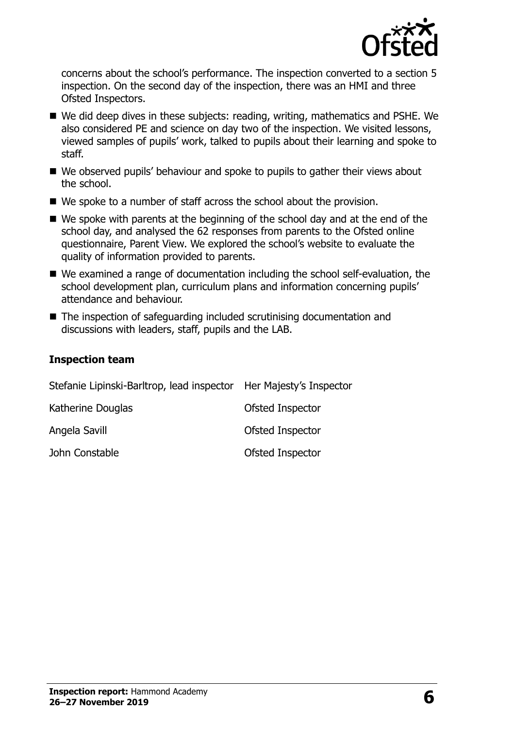

concerns about the school's performance. The inspection converted to a section 5 inspection. On the second day of the inspection, there was an HMI and three Ofsted Inspectors.

- We did deep dives in these subjects: reading, writing, mathematics and PSHE. We also considered PE and science on day two of the inspection. We visited lessons, viewed samples of pupils' work, talked to pupils about their learning and spoke to staff.
- We observed pupils' behaviour and spoke to pupils to gather their views about the school.
- We spoke to a number of staff across the school about the provision.
- We spoke with parents at the beginning of the school day and at the end of the school day, and analysed the 62 responses from parents to the Ofsted online questionnaire, Parent View. We explored the school's website to evaluate the quality of information provided to parents.
- We examined a range of documentation including the school self-evaluation, the school development plan, curriculum plans and information concerning pupils' attendance and behaviour.
- The inspection of safeguarding included scrutinising documentation and discussions with leaders, staff, pupils and the LAB.

#### **Inspection team**

| Stefanie Lipinski-Barltrop, lead inspector Her Majesty's Inspector |                  |
|--------------------------------------------------------------------|------------------|
| Katherine Douglas                                                  | Ofsted Inspector |
| Angela Savill                                                      | Ofsted Inspector |
| John Constable                                                     | Ofsted Inspector |